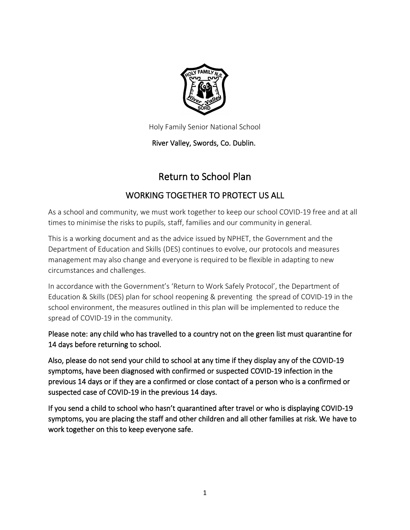

Holy Family Senior National School

River Valley, Swords, Co. Dublin.

# Return to School Plan

## WORKING TOGETHER TO PROTECT US ALL

As a school and community, we must work together to keep our school COVID-19 free and at all times to minimise the risks to pupils, staff, families and our community in general.

This is a working document and as the advice issued by NPHET, the Government and the Department of Education and Skills (DES) continues to evolve, our protocols and measures management may also change and everyone is required to be flexible in adapting to new circumstances and challenges.

In accordance with the Government's 'Return to Work Safely Protocol', the Department of Education & Skills (DES) plan for school reopening & preventing the spread of COVID-19 in the school environment, the measures outlined in this plan will be implemented to reduce the spread of COVID-19 in the community.

Please note: any child who has travelled to a country not on the green list must quarantine for 14 days before returning to school.

Also, please do not send your child to school at any time if they display any of the COVID-19 symptoms, have been diagnosed with confirmed or suspected COVID-19 infection in the previous 14 days or if they are a confirmed or close contact of a person who is a confirmed or suspected case of COVID-19 in the previous 14 days.

If you send a child to school who hasn't quarantined after travel or who is displaying COVID-19 symptoms, you are placing the staff and other children and all other families at risk. We have to work together on this to keep everyone safe.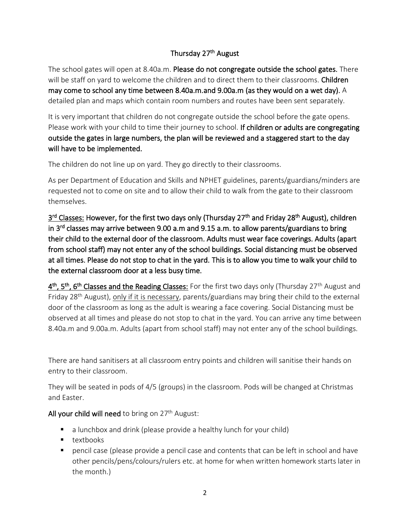## Thursday 27<sup>th</sup> August

The school gates will open at 8.40a.m. Please do not congregate outside the school gates. There will be staff on yard to welcome the children and to direct them to their classrooms. Children may come to school any time between 8.40a.m.and 9.00a.m (as they would on a wet day). A detailed plan and maps which contain room numbers and routes have been sent separately.

It is very important that children do not congregate outside the school before the gate opens. Please work with your child to time their journey to school. If children or adults are congregating outside the gates in large numbers, the plan will be reviewed and a staggered start to the day will have to be implemented.

The children do not line up on yard. They go directly to their classrooms.

As per Department of Education and Skills and NPHET guidelines, parents/guardians/minders are requested not to come on site and to allow their child to walk from the gate to their classroom themselves.

3<sup>rd</sup> Classes: However, for the first two days only (Thursday 27<sup>th</sup> and Friday 28<sup>th</sup> August), children in 3<sup>rd</sup> classes may arrive between 9.00 a.m and 9.15 a.m. to allow parents/guardians to bring their child to the external door of the classroom. Adults must wear face coverings. Adults (apart from school staff) may not enter any of the school buildings. Social distancing must be observed at all times. Please do not stop to chat in the yard. This is to allow you time to walk your child to the external classroom door at a less busy time.

4<sup>th</sup>, 5<sup>th</sup>, 6<sup>th</sup> Classes and the Reading Classes: For the first two days only (Thursday 27<sup>th</sup> August and Friday 28<sup>th</sup> August), only if it is necessary, parents/guardians may bring their child to the external door of the classroom as long as the adult is wearing a face covering. Social Distancing must be observed at all times and please do not stop to chat in the yard. You can arrive any time between 8.40a.m and 9.00a.m. Adults (apart from school staff) may not enter any of the school buildings.

There are hand sanitisers at all classroom entry points and children will sanitise their hands on entry to their classroom.

They will be seated in pods of 4/5 (groups) in the classroom. Pods will be changed at Christmas and Easter.

#### All your child will need to bring on  $27<sup>th</sup>$  August:

- a lunchbox and drink (please provide a healthy lunch for your child)
- textbooks
- pencil case (please provide a pencil case and contents that can be left in school and have other pencils/pens/colours/rulers etc. at home for when written homework starts later in the month.)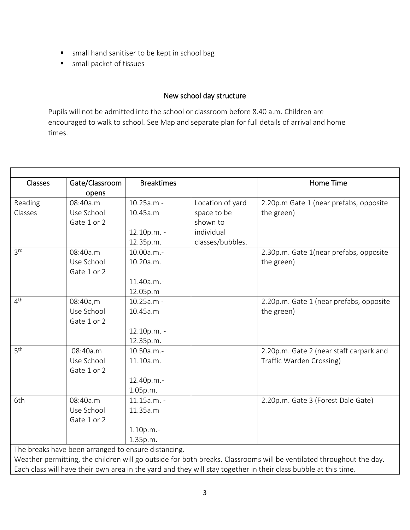- small hand sanitiser to be kept in school bag
- small packet of tissues

#### New school day structure

Pupils will not be admitted into the school or classroom before 8.40 a.m. Children are encouraged to walk to school. See Map and separate plan for full details of arrival and home times.

| <b>Classes</b>                                                                                                      | Gate/Classroom                                      | <b>Breaktimes</b> |                  | <b>Home Time</b>                        |
|---------------------------------------------------------------------------------------------------------------------|-----------------------------------------------------|-------------------|------------------|-----------------------------------------|
|                                                                                                                     | opens                                               |                   |                  |                                         |
| Reading                                                                                                             | 08:40a.m                                            | 10.25a.m -        | Location of yard | 2.20p.m Gate 1 (near prefabs, opposite  |
| Classes                                                                                                             | Use School                                          | 10.45a.m          | space to be      | the green)                              |
|                                                                                                                     | Gate 1 or 2                                         |                   | shown to         |                                         |
|                                                                                                                     |                                                     | 12.10p.m. -       | individual       |                                         |
|                                                                                                                     |                                                     | 12.35p.m.         | classes/bubbles. |                                         |
| 3 <sup>rd</sup>                                                                                                     | 08:40a.m                                            | 10.00a.m.-        |                  | 2.30p.m. Gate 1(near prefabs, opposite  |
|                                                                                                                     | Use School                                          | 10.20a.m.         |                  | the green)                              |
|                                                                                                                     | Gate 1 or 2                                         |                   |                  |                                         |
|                                                                                                                     |                                                     | 11.40a.m.-        |                  |                                         |
|                                                                                                                     |                                                     | 12.05p.m          |                  |                                         |
| 4 <sup>th</sup>                                                                                                     | 08:40a,m                                            | $10.25a.m -$      |                  | 2.20p.m. Gate 1 (near prefabs, opposite |
|                                                                                                                     | Use School                                          | 10.45a.m          |                  | the green)                              |
|                                                                                                                     | Gate 1 or 2                                         |                   |                  |                                         |
|                                                                                                                     |                                                     | 12.10p.m. -       |                  |                                         |
|                                                                                                                     |                                                     | 12.35p.m.         |                  |                                         |
| 5 <sup>th</sup>                                                                                                     | 08:40a.m                                            | 10.50a.m.-        |                  | 2.20p.m. Gate 2 (near staff carpark and |
|                                                                                                                     | Use School                                          | 11.10a.m.         |                  | Traffic Warden Crossing)                |
|                                                                                                                     | Gate 1 or 2                                         |                   |                  |                                         |
|                                                                                                                     |                                                     | 12.40p.m.-        |                  |                                         |
|                                                                                                                     |                                                     | 1.05p.m.          |                  |                                         |
| 6th                                                                                                                 | 08:40a.m                                            | 11.15a.m. -       |                  | 2.20p.m. Gate 3 (Forest Dale Gate)      |
|                                                                                                                     | Use School                                          | 11.35a.m          |                  |                                         |
|                                                                                                                     | Gate 1 or 2                                         |                   |                  |                                         |
|                                                                                                                     |                                                     | 1.10p.m.-         |                  |                                         |
|                                                                                                                     |                                                     | 1.35p.m.          |                  |                                         |
|                                                                                                                     | The breaks have been arranged to ensure distancing. |                   |                  |                                         |
| Weather permitting, the children will go outside for both breaks. Classrooms will be ventilated throughout the day. |                                                     |                   |                  |                                         |

Each class will have their own area in the yard and they will stay together in their class bubble at this time.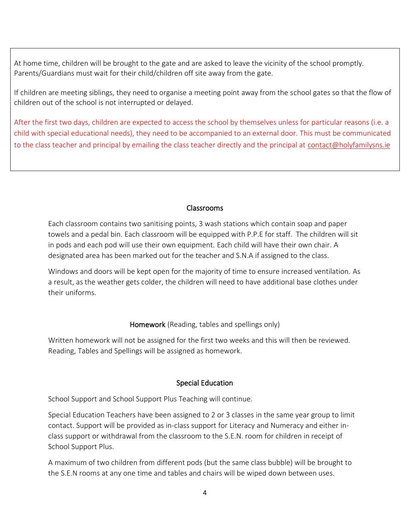At home time, children will be brought to the gate and are asked to leave the vicinity of the school promptly. Parents/Guardians must wait for their child/children off site away from the gate.

If children are meeting siblings, they need to organise a meeting point away from the school gates so that the flow of children out of the school is not interrupted or delayed.

After the first two days, children are expected to access the school by themselves unless for particular reasons (i.e. a child with special educational needs), they need to be accompanied to an external door. This must be communicated to the class teacher and principal by emailing the class teacher directly and the principal at [contact@holyfamilysns.ie](mailto:contact@holyfamilysns.ie)

#### Classrooms

Each classroom contains two sanitising points, 3 wash stations which contain soap and paper towels and a pedal bin. Each classroom will be equipped with P.P.E for staff. The children will sit in pods and each pod will use their own equipment. Each child will have their own chair. A designated area has been marked out for the teacher and S.N.A if assigned to the class.

Windows and doors will be kept open for the majority of time to ensure increased ventilation. As a result, as the weather gets colder, the children will need to have additional base clothes under their uniforms.

#### Homework (Reading, tables and spellings only)

Written homework will not be assigned for the first two weeks and this will then be reviewed. Reading, Tables and Spellings will be assigned as homework.

## Special Education

School Support and School Support Plus Teaching will continue.

Special Education Teachers have been assigned to 2 or 3 classes in the same year group to limit contact. Support will be provided as in-class support for Literacy and Numeracy and either inclass support or withdrawal from the classroom to the S.E.N. room for children in receipt of School Support Plus.

A maximum of two children from different pods (but the same class bubble) will be brought to the S.E.N rooms at any one time and tables and chairs will be wiped down between uses.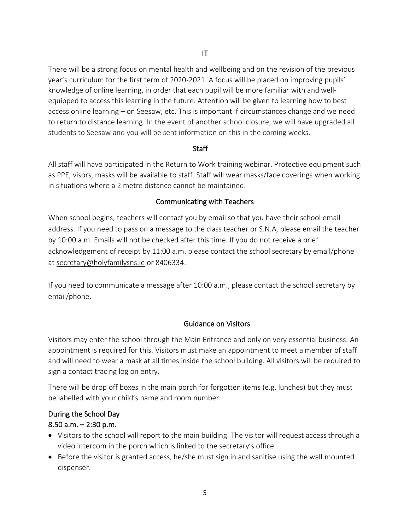There will be a strong focus on mental health and wellbeing and on the revision of the previous year's curriculum for the first term of 2020-2021. A focus will be placed on improving pupils' knowledge of online learning, in order that each pupil will be more familiar with and wellequipped to access this learning in the future. Attention will be given to learning how to best access online learning – on Seesaw, etc. This is important if circumstances change and we need to return to distance learning. In the event of another school closure, we will have upgraded all students to Seesaw and you will be sent information on this in the coming weeks.

#### **Staff**

All staff will have participated in the Return to Work training webinar. Protective equipment such as PPE, visors, masks will be available to staff. Staff will wear masks/face coverings when working in situations where a 2 metre distance cannot be maintained.

#### Communicating with Teachers

When school begins, teachers will contact you by email so that you have their school email address. If you need to pass on a message to the class teacher or S.N.A, please email the teacher by 10:00 a.m. Emails will not be checked after this time. If you do not receive a brief acknowledgement of receipt by 11:00 a.m. please contact the school secretary by email/phone at [secretary@holyfamilysns.ie](mailto:secretary@holyfamilysns.ie) or 8406334.

If you need to communicate a message after 10:00 a.m., please contact the school secretary by email/phone.

## Guidance on Visitors

Visitors may enter the school through the Main Entrance and only on very essential business. An appointment is required for this. Visitors must make an appointment to meet a member of staff and will need to wear a mask at all times inside the school building. All visitors will be required to sign a contact tracing log on entry.

There will be drop off boxes in the main porch for forgotten items (e.g. lunches) but they must be labelled with your child's name and room number.

## During the School Day

## 8.50 a.m.  $-2:30$  p.m.

- Visitors to the school will report to the main building. The visitor will request access through a video intercom in the porch which is linked to the secretary's office.
- Before the visitor is granted access, he/she must sign in and sanitise using the wall mounted dispenser.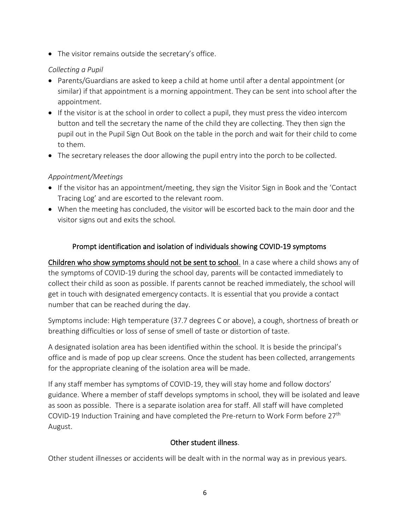• The visitor remains outside the secretary's office.

#### *Collecting a Pupil*

- Parents/Guardians are asked to keep a child at home until after a dental appointment (or similar) if that appointment is a morning appointment. They can be sent into school after the appointment.
- If the visitor is at the school in order to collect a pupil, they must press the video intercom button and tell the secretary the name of the child they are collecting. They then sign the pupil out in the Pupil Sign Out Book on the table in the porch and wait for their child to come to them.
- The secretary releases the door allowing the pupil entry into the porch to be collected.

## *Appointment/Meetings*

- If the visitor has an appointment/meeting, they sign the Visitor Sign in Book and the 'Contact Tracing Log' and are escorted to the relevant room.
- When the meeting has concluded, the visitor will be escorted back to the main door and the visitor signs out and exits the school.

## Prompt identification and isolation of individuals showing COVID-19 symptoms

Children who show symptoms should not be sent to school. In a case where a child shows any of the symptoms of COVID-19 during the school day, parents will be contacted immediately to collect their child as soon as possible. If parents cannot be reached immediately, the school will get in touch with designated emergency contacts. It is essential that you provide a contact number that can be reached during the day.

Symptoms include: High temperature (37.7 degrees C or above), a cough, shortness of breath or breathing difficulties or loss of sense of smell of taste or distortion of taste.

A designated isolation area has been identified within the school. It is beside the principal's office and is made of pop up clear screens. Once the student has been collected, arrangements for the appropriate cleaning of the isolation area will be made.

If any staff member has symptoms of COVID-19, they will stay home and follow doctors' guidance. Where a member of staff develops symptoms in school, they will be isolated and leave as soon as possible. There is a separate isolation area for staff. All staff will have completed COVID-19 Induction Training and have completed the Pre-return to Work Form before 27<sup>th</sup> August.

#### Other student illness.

Other student illnesses or accidents will be dealt with in the normal way as in previous years.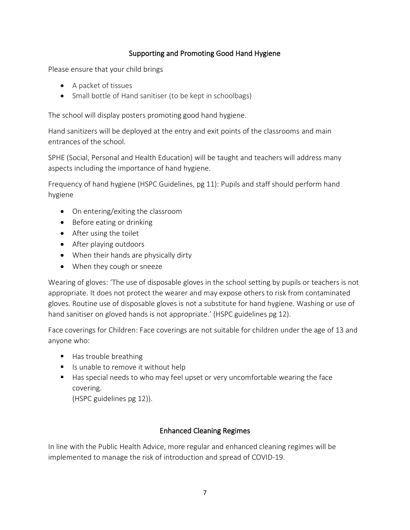## Supporting and Promoting Good Hand Hygiene

Please ensure that your child brings

- A packet of tissues
- Small bottle of Hand sanitiser (to be kept in schoolbags)

The school will display posters promoting good hand hygiene.

Hand sanitizers will be deployed at the entry and exit points of the classrooms and main entrances of the school.

SPHE (Social, Personal and Health Education) will be taught and teachers will address many aspects including the importance of hand hygiene.

Frequency of hand hygiene (HSPC Guidelines, pg 11): Pupils and staff should perform hand hygiene

- On entering/exiting the classroom
- Before eating or drinking
- After using the toilet
- After playing outdoors
- When their hands are physically dirty
- When they cough or sneeze

Wearing of gloves: 'The use of disposable gloves in the school setting by pupils or teachers is not appropriate. It does not protect the wearer and may expose others to risk from contaminated gloves. Routine use of disposable gloves is not a substitute for hand hygiene. Washing or use of hand sanitiser on gloved hands is not appropriate.' (HSPC guidelines pg 12).

Face coverings for Children: Face coverings are not suitable for children under the age of 13 and anyone who:

- Has trouble breathing
- Is unable to remove it without help
- Has special needs to who may feel upset or very uncomfortable wearing the face covering.

(HSPC guidelines pg 12)).

## Enhanced Cleaning Regimes

In line with the Public Health Advice, more regular and enhanced cleaning regimes will be implemented to manage the risk of introduction and spread of COVID-19.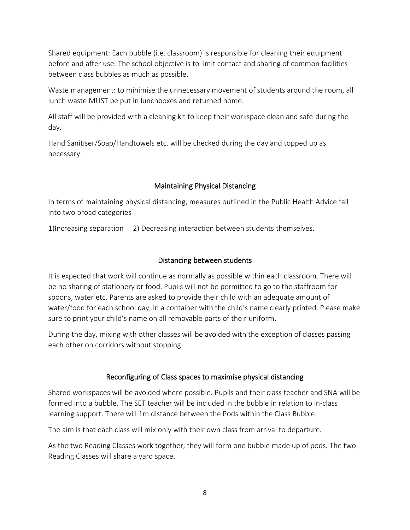Shared equipment: Each bubble (i.e. classroom) is responsible for cleaning their equipment before and after use. The school objective is to limit contact and sharing of common facilities between class bubbles as much as possible.

Waste management: to minimise the unnecessary movement of students around the room, all lunch waste MUST be put in lunchboxes and returned home.

All staff will be provided with a cleaning kit to keep their workspace clean and safe during the day.

Hand Sanitiser/Soap/Handtowels etc. will be checked during the day and topped up as necessary.

## Maintaining Physical Distancing

In terms of maintaining physical distancing, measures outlined in the Public Health Advice fall into two broad categories

1)Increasing separation 2) Decreasing interaction between students themselves.

## Distancing between students

It is expected that work will continue as normally as possible within each classroom. There will be no sharing of stationery or food. Pupils will not be permitted to go to the staffroom for spoons, water etc. Parents are asked to provide their child with an adequate amount of water/food for each school day, in a container with the child's name clearly printed. Please make sure to print your child's name on all removable parts of their uniform.

During the day, mixing with other classes will be avoided with the exception of classes passing each other on corridors without stopping.

## Reconfiguring of Class spaces to maximise physical distancing

Shared workspaces will be avoided where possible. Pupils and their class teacher and SNA will be formed into a bubble. The SET teacher will be included in the bubble in relation to in-class learning support. There will 1m distance between the Pods within the Class Bubble.

The aim is that each class will mix only with their own class from arrival to departure.

As the two Reading Classes work together, they will form one bubble made up of pods. The two Reading Classes will share a yard space.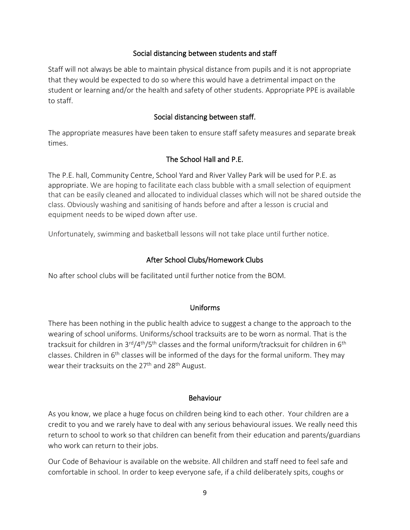#### Social distancing between students and staff

Staff will not always be able to maintain physical distance from pupils and it is not appropriate that they would be expected to do so where this would have a detrimental impact on the student or learning and/or the health and safety of other students. Appropriate PPE is available to staff.

#### Social distancing between staff.

The appropriate measures have been taken to ensure staff safety measures and separate break times.

#### The School Hall and P.E.

The P.E. hall, Community Centre, School Yard and River Valley Park will be used for P.E. as appropriate. We are hoping to facilitate each class bubble with a small selection of equipment that can be easily cleaned and allocated to individual classes which will not be shared outside the class. Obviously washing and sanitising of hands before and after a lesson is crucial and equipment needs to be wiped down after use.

Unfortunately, swimming and basketball lessons will not take place until further notice.

#### After School Clubs/Homework Clubs

No after school clubs will be facilitated until further notice from the BOM.

#### Uniforms

There has been nothing in the public health advice to suggest a change to the approach to the wearing of school uniforms. Uniforms/school tracksuits are to be worn as normal. That is the tracksuit for children in  $3^{\text{rd}}/4^{\text{th}}/5^{\text{th}}$  classes and the formal uniform/tracksuit for children in 6<sup>th</sup> classes. Children in  $6<sup>th</sup>$  classes will be informed of the days for the formal uniform. They may wear their tracksuits on the  $27<sup>th</sup>$  and  $28<sup>th</sup>$  August.

#### Behaviour

As you know, we place a huge focus on children being kind to each other. Your children are a credit to you and we rarely have to deal with any serious behavioural issues. We really need this return to school to work so that children can benefit from their education and parents/guardians who work can return to their jobs.

Our Code of Behaviour is available on the website. All children and staff need to feel safe and comfortable in school. In order to keep everyone safe, if a child deliberately spits, coughs or